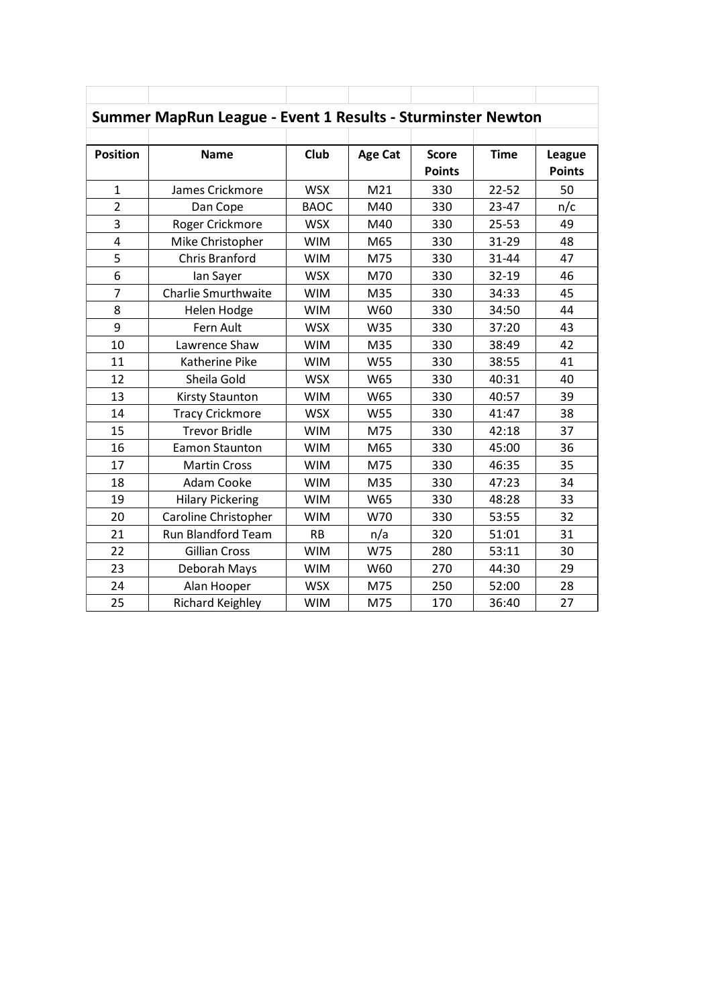| Summer MapRun League - Event 1 Results - Sturminster Newton |                            |             |                |                               |             |                         |  |  |
|-------------------------------------------------------------|----------------------------|-------------|----------------|-------------------------------|-------------|-------------------------|--|--|
| <b>Position</b>                                             | <b>Name</b>                | <b>Club</b> | <b>Age Cat</b> | <b>Score</b><br><b>Points</b> | <b>Time</b> | League<br><b>Points</b> |  |  |
| $\mathbf{1}$                                                | James Crickmore            | <b>WSX</b>  | M21            | 330                           | $22 - 52$   | 50                      |  |  |
| $\overline{2}$                                              | Dan Cope                   | <b>BAOC</b> | M40            | 330                           | $23 - 47$   | n/c                     |  |  |
| 3                                                           | Roger Crickmore            | <b>WSX</b>  | M40            | 330                           | $25 - 53$   | 49                      |  |  |
| $\overline{4}$                                              | Mike Christopher           | <b>WIM</b>  | M65            | 330                           | 31-29       | 48                      |  |  |
| 5                                                           | Chris Branford             | <b>WIM</b>  | M75            | 330                           | 31-44       | 47                      |  |  |
| 6                                                           | lan Sayer                  | <b>WSX</b>  | M70            | 330                           | 32-19       | 46                      |  |  |
| $\overline{7}$                                              | <b>Charlie Smurthwaite</b> | <b>WIM</b>  | M35            | 330                           | 34:33       | 45                      |  |  |
| 8                                                           | Helen Hodge                | <b>WIM</b>  | W60            | 330                           | 34:50       | 44                      |  |  |
| 9                                                           | Fern Ault                  | <b>WSX</b>  | W35            | 330                           | 37:20       | 43                      |  |  |
| 10                                                          | Lawrence Shaw              | <b>WIM</b>  | M35            | 330                           | 38:49       | 42                      |  |  |
| 11                                                          | Katherine Pike             | <b>WIM</b>  | W55            | 330                           | 38:55       | 41                      |  |  |
| 12                                                          | Sheila Gold                | <b>WSX</b>  | W65            | 330                           | 40:31       | 40                      |  |  |
| 13                                                          | <b>Kirsty Staunton</b>     | <b>WIM</b>  | W65            | 330                           | 40:57       | 39                      |  |  |
| 14                                                          | <b>Tracy Crickmore</b>     | <b>WSX</b>  | W55            | 330                           | 41:47       | 38                      |  |  |
| 15                                                          | <b>Trevor Bridle</b>       | <b>WIM</b>  | M75            | 330                           | 42:18       | 37                      |  |  |
| 16                                                          | Eamon Staunton             | <b>WIM</b>  | M65            | 330                           | 45:00       | 36                      |  |  |
| 17                                                          | <b>Martin Cross</b>        | <b>WIM</b>  | M75            | 330                           | 46:35       | 35                      |  |  |
| 18                                                          | Adam Cooke                 | <b>WIM</b>  | M35            | 330                           | 47:23       | 34                      |  |  |
| 19                                                          | <b>Hilary Pickering</b>    | <b>WIM</b>  | W65            | 330                           | 48:28       | 33                      |  |  |
| 20                                                          | Caroline Christopher       | <b>WIM</b>  | W70            | 330                           | 53:55       | 32                      |  |  |
| 21                                                          | Run Blandford Team         | <b>RB</b>   | n/a            | 320                           | 51:01       | 31                      |  |  |
| 22                                                          | <b>Gillian Cross</b>       | <b>WIM</b>  | W75            | 280                           | 53:11       | 30                      |  |  |
| 23                                                          | Deborah Mays               | <b>WIM</b>  | W60            | 270                           | 44:30       | 29                      |  |  |
| 24                                                          | Alan Hooper                | <b>WSX</b>  | M75            | 250                           | 52:00       | 28                      |  |  |
| 25                                                          | <b>Richard Keighley</b>    | <b>WIM</b>  | M75            | 170                           | 36:40       | 27                      |  |  |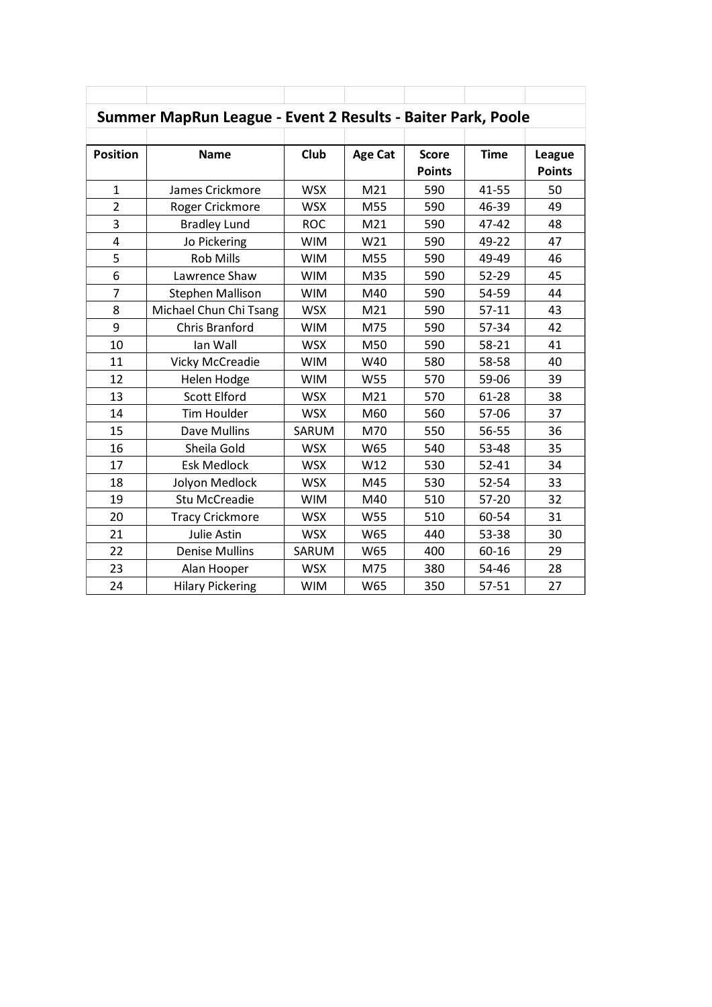| Summer MapRun League - Event 2 Results - Baiter Park, Poole |                         |            |                |                               |             |                         |  |  |
|-------------------------------------------------------------|-------------------------|------------|----------------|-------------------------------|-------------|-------------------------|--|--|
| <b>Position</b>                                             | <b>Name</b>             | Club       | <b>Age Cat</b> | <b>Score</b><br><b>Points</b> | <b>Time</b> | League<br><b>Points</b> |  |  |
| $\mathbf{1}$                                                | James Crickmore         | <b>WSX</b> | M21            | 590                           | 41-55       | 50                      |  |  |
| $\overline{2}$                                              | Roger Crickmore         | <b>WSX</b> | M55            | 590                           | 46-39       | 49                      |  |  |
| 3                                                           | <b>Bradley Lund</b>     | <b>ROC</b> | M21            | 590                           | 47-42       | 48                      |  |  |
| 4                                                           | Jo Pickering            | <b>WIM</b> | W21            | 590                           | 49-22       | 47                      |  |  |
| 5                                                           | <b>Rob Mills</b>        | <b>WIM</b> | M55            | 590                           | 49-49       | 46                      |  |  |
| 6                                                           | Lawrence Shaw           | <b>WIM</b> | M35            | 590                           | 52-29       | 45                      |  |  |
| $\overline{7}$                                              | <b>Stephen Mallison</b> | <b>WIM</b> | M40            | 590                           | 54-59       | 44                      |  |  |
| 8                                                           | Michael Chun Chi Tsang  | <b>WSX</b> | M21            | 590                           | $57-11$     | 43                      |  |  |
| 9                                                           | <b>Chris Branford</b>   | <b>WIM</b> | M75            | 590                           | 57-34       | 42                      |  |  |
| 10                                                          | lan Wall                | <b>WSX</b> | M50            | 590                           | 58-21       | 41                      |  |  |
| 11                                                          | <b>Vicky McCreadie</b>  | <b>WIM</b> | W40            | 580                           | 58-58       | 40                      |  |  |
| 12                                                          | Helen Hodge             | <b>WIM</b> | W55            | 570                           | 59-06       | 39                      |  |  |
| 13                                                          | <b>Scott Elford</b>     | <b>WSX</b> | M21            | 570                           | 61-28       | 38                      |  |  |
| 14                                                          | Tim Houlder             | <b>WSX</b> | M60            | 560                           | 57-06       | 37                      |  |  |
| 15                                                          | Dave Mullins            | SARUM      | M70            | 550                           | 56-55       | 36                      |  |  |
| 16                                                          | Sheila Gold             | <b>WSX</b> | W65            | 540                           | 53-48       | 35                      |  |  |
| 17                                                          | <b>Esk Medlock</b>      | <b>WSX</b> | W12            | 530                           | $52 - 41$   | 34                      |  |  |
| 18                                                          | Jolyon Medlock          | <b>WSX</b> | M45            | 530                           | 52-54       | 33                      |  |  |
| 19                                                          | <b>Stu McCreadie</b>    | <b>WIM</b> | M40            | 510                           | 57-20       | 32                      |  |  |
| 20                                                          | <b>Tracy Crickmore</b>  | <b>WSX</b> | W55            | 510                           | 60-54       | 31                      |  |  |
| 21                                                          | Julie Astin             | <b>WSX</b> | W65            | 440                           | 53-38       | 30                      |  |  |
| 22                                                          | <b>Denise Mullins</b>   | SARUM      | W65            | 400                           | 60-16       | 29                      |  |  |
| 23                                                          | Alan Hooper             | <b>WSX</b> | M75            | 380                           | 54-46       | 28                      |  |  |
| 24                                                          | <b>Hilary Pickering</b> | <b>WIM</b> | W65            | 350                           | 57-51       | 27                      |  |  |